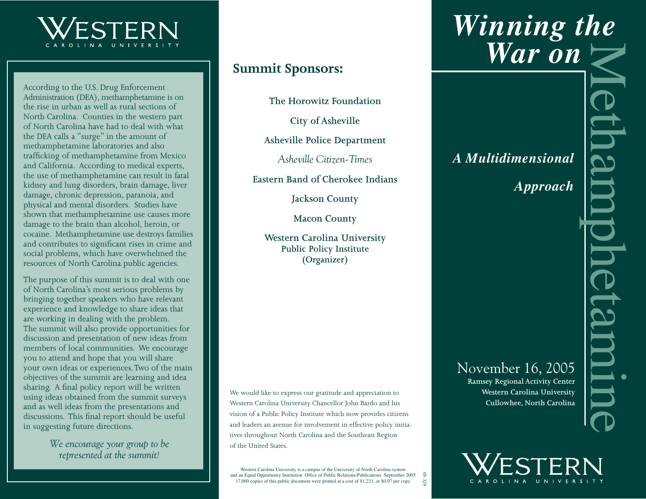

According to the U.S. Drug Enforcement Administration (DEA), methamphetamine is on the rise in urban as well as rural sections of North Carolina. Counties in the western part of North Carolina have had to deal with what the DEA calls a "surge" in the amount of methamphetamine laboratories and also trafficking of methamphetamine from Mexico and California. According to medical experts, the use of methamphetamine can result in fatal kidney and lung disorders, brain damage, liver damage, chronic depression, paranoia, and physical and mental disorders. Studies have shown that methamphetamine use causes more damage to the brain than alcohol, heroin, or cocaine. Methamphetamine use destroys families and contributes to significant rises in crime and social problems, which have overwhelmed the resources of North Carolina public agencies.

The purpose of this summit is to deal with one of North Carolina's most serious problems by bringing together speakers who have relevant experience and knowledge to share ideas that are working in dealing with the problem. The summit will also provide opportunities for discussion and presentation of new ideas from members of local communities. We encourage you to attend and hope that you will share your own ideas or experiences. Two of the main objectives of the summit are learning and idea sharing. A final policy report will be written using ideas obtained from the summit surveys and as well ideas from the presentations and discussions. This final report should be useful in suggesting future directions.

> *We encourage your group to be represented at the summit!*

## **Summit Sponsors:**

**The Horowitz Foundation**

**City of Asheville**

**Asheville Police Department**

*Asheville Citizen-Times*

**Eastern Band of Cherokee Indians**

**Jackson County**

**Macon County**

**Western Carolina University Public Policy Institute (Organizer)**

We would like to express our gratitude and appreciation to Western Carolina University Chancellor John Bardo and his vision of a Public Policy Institute which now provides citizens and leaders an avenue for involvement in effective policy initiatives throughout North Carolina and the Southeast Region of the United States.

Western Carolina University is a campus of the University of North Carolina system and an Equal Opportunity Institution Office of Public Relations/Publications September 2005 17,000 copies of this public document were printed at a cost of \$1,221, or \$0.07 per copy

05-329

# **Winning the**<br> **War on**<br>
A Multidimensional<br>
Approach<br>
Approach<br>
November 16, 2005<br>
November 16, 2005<br>
Nowember 16, 2005<br>
Nesser Carolina University<br>
Cullowhee, North Carolina  *War on*

# *A Multidimensional*

*Approach*

November 16, 2005

**Ramsey Regional Activity Center Western Carolina University Cullowhee, North Carolina**